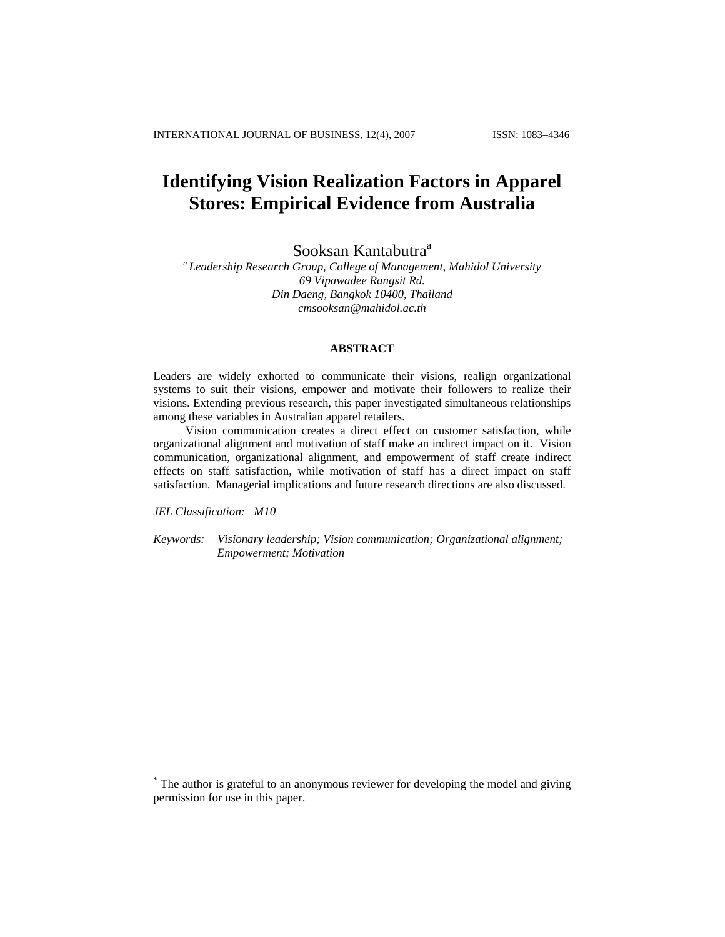# **Identifying Vision Realization Factors in Apparel Stores: Empirical Evidence from Australia**

Sooksan Kantabutra<sup>a</sup>

*a Leadership Research Group, College of Management, Mahidol University 69 Vipawadee Rangsit Rd. Din Daeng, Bangkok 10400, Thailand [cmsooksan@mahidol.ac.th](mailto:sooksan.k@cmmu.net)*

#### **ABSTRACT**

Leaders are widely exhorted to communicate their visions, realign organizational systems to suit their visions, empower and motivate their followers to realize their visions. Extending previous research, this paper investigated simultaneous relationships among these variables in Australian apparel retailers.

Vision communication creates a direct effect on customer satisfaction, while organizational alignment and motivation of staff make an indirect impact on it. Vision communication, organizational alignment, and empowerment of staff create indirect effects on staff satisfaction, while motivation of staff has a direct impact on staff satisfaction. Managerial implications and future research directions are also discussed.

*JEL Classification: M10* 

*Keywords: Visionary leadership; Vision communication; Organizational alignment; Empowerment; Motivation* 

\* The author is grateful to an anonymous reviewer for developing the model and giving permission for use in this paper.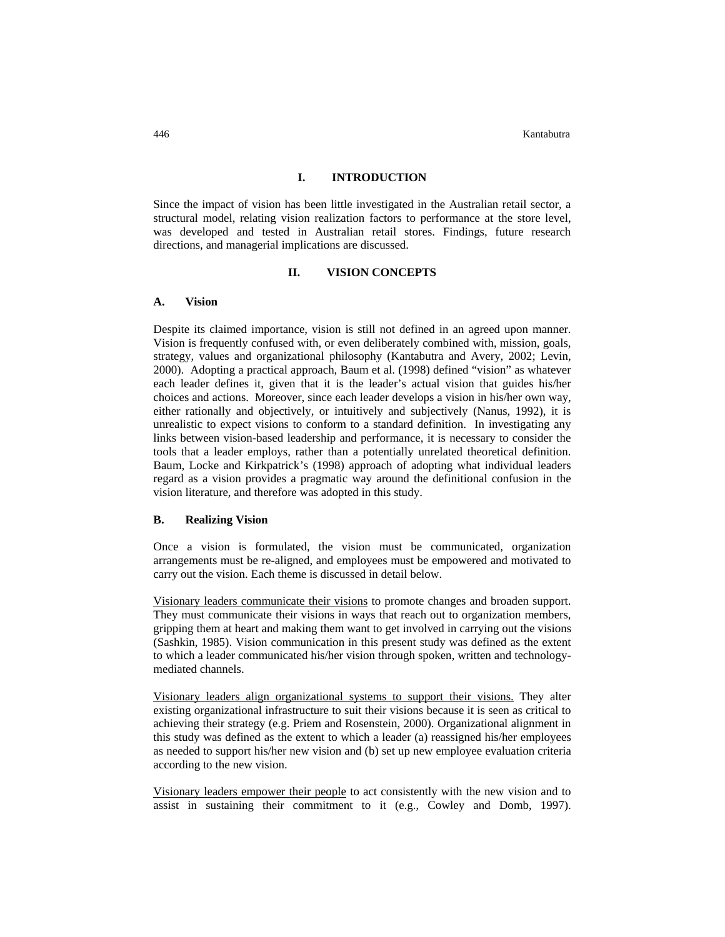446 Kantabutra

## **I. INTRODUCTION**

Since the impact of vision has been little investigated in the Australian retail sector, a structural model, relating vision realization factors to performance at the store level, was developed and tested in Australian retail stores. Findings, future research directions, and managerial implications are discussed.

## **II. VISION CONCEPTS**

#### **A. Vision**

Despite its claimed importance, vision is still not defined in an agreed upon manner. Vision is frequently confused with, or even deliberately combined with, mission, goals, strategy, values and organizational philosophy (Kantabutra and Avery, 2002; Levin, 2000). Adopting a practical approach, Baum et al. (1998) defined "vision" as whatever each leader defines it, given that it is the leader's actual vision that guides his/her choices and actions. Moreover, since each leader develops a vision in his/her own way, either rationally and objectively, or intuitively and subjectively (Nanus, 1992), it is unrealistic to expect visions to conform to a standard definition. In investigating any links between vision-based leadership and performance, it is necessary to consider the tools that a leader employs, rather than a potentially unrelated theoretical definition. Baum, Locke and Kirkpatrick's (1998) approach of adopting what individual leaders regard as a vision provides a pragmatic way around the definitional confusion in the vision literature, and therefore was adopted in this study.

## **B. Realizing Vision**

Once a vision is formulated, the vision must be communicated, organization arrangements must be re-aligned, and employees must be empowered and motivated to carry out the vision. Each theme is discussed in detail below.

Visionary leaders communicate their visions to promote changes and broaden support. They must communicate their visions in ways that reach out to organization members, gripping them at heart and making them want to get involved in carrying out the visions (Sashkin, 1985). Vision communication in this present study was defined as the extent to which a leader communicated his/her vision through spoken, written and technologymediated channels.

Visionary leaders align organizational systems to support their visions. They alter existing organizational infrastructure to suit their visions because it is seen as critical to achieving their strategy (e.g. Priem and Rosenstein, 2000). Organizational alignment in this study was defined as the extent to which a leader (a) reassigned his/her employees as needed to support his/her new vision and (b) set up new employee evaluation criteria according to the new vision.

Visionary leaders empower their people to act consistently with the new vision and to assist in sustaining their commitment to it (e.g., Cowley and Domb, 1997).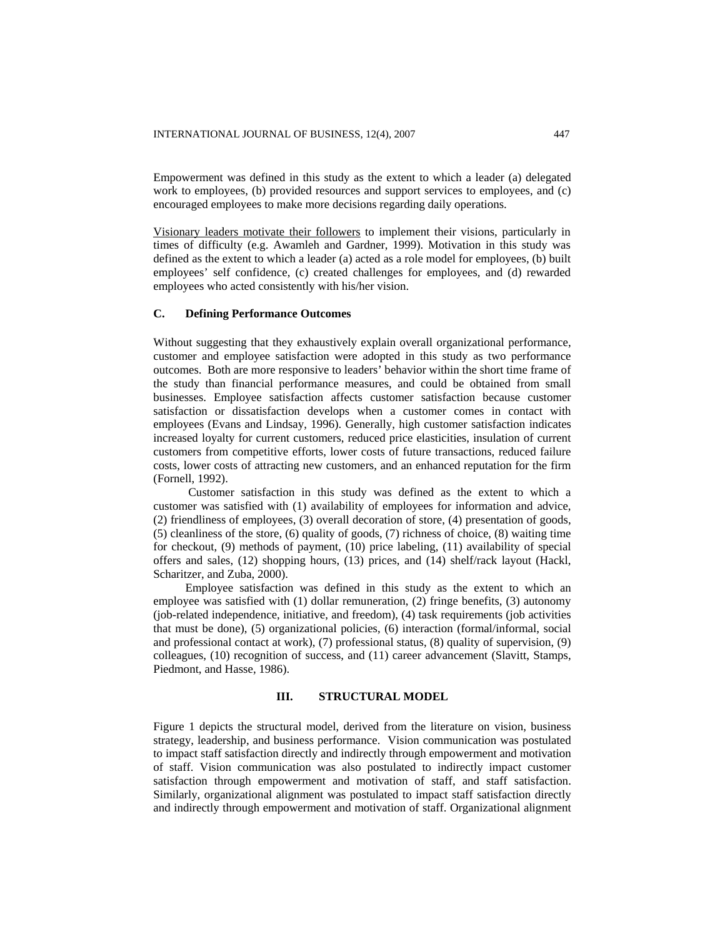Empowerment was defined in this study as the extent to which a leader (a) delegated work to employees, (b) provided resources and support services to employees, and (c) encouraged employees to make more decisions regarding daily operations.

Visionary leaders motivate their followers to implement their visions, particularly in times of difficulty (e.g. Awamleh and Gardner, 1999). Motivation in this study was defined as the extent to which a leader (a) acted as a role model for employees, (b) built employees' self confidence, (c) created challenges for employees, and (d) rewarded employees who acted consistently with his/her vision.

#### **C. Defining Performance Outcomes**

Without suggesting that they exhaustively explain overall organizational performance, customer and employee satisfaction were adopted in this study as two performance outcomes. Both are more responsive to leaders' behavior within the short time frame of the study than financial performance measures, and could be obtained from small businesses. Employee satisfaction affects customer satisfaction because customer satisfaction or dissatisfaction develops when a customer comes in contact with employees (Evans and Lindsay, 1996). Generally, high customer satisfaction indicates increased loyalty for current customers, reduced price elasticities, insulation of current customers from competitive efforts, lower costs of future transactions, reduced failure costs, lower costs of attracting new customers, and an enhanced reputation for the firm (Fornell, 1992).

 Customer satisfaction in this study was defined as the extent to which a customer was satisfied with (1) availability of employees for information and advice, (2) friendliness of employees, (3) overall decoration of store, (4) presentation of goods, (5) cleanliness of the store, (6) quality of goods, (7) richness of choice, (8) waiting time for checkout, (9) methods of payment, (10) price labeling, (11) availability of special offers and sales, (12) shopping hours, (13) prices, and (14) shelf/rack layout (Hackl, Scharitzer, and Zuba, 2000).

Employee satisfaction was defined in this study as the extent to which an employee was satisfied with (1) dollar remuneration, (2) fringe benefits, (3) autonomy (job-related independence, initiative, and freedom), (4) task requirements (job activities that must be done), (5) organizational policies, (6) interaction (formal/informal, social and professional contact at work), (7) professional status, (8) quality of supervision, (9) colleagues, (10) recognition of success, and (11) career advancement (Slavitt, Stamps, Piedmont, and Hasse, 1986).

## **III. STRUCTURAL MODEL**

Figure 1 depicts the structural model, derived from the literature on vision, business strategy, leadership, and business performance. Vision communication was postulated to impact staff satisfaction directly and indirectly through empowerment and motivation of staff. Vision communication was also postulated to indirectly impact customer satisfaction through empowerment and motivation of staff, and staff satisfaction. Similarly, organizational alignment was postulated to impact staff satisfaction directly and indirectly through empowerment and motivation of staff. Organizational alignment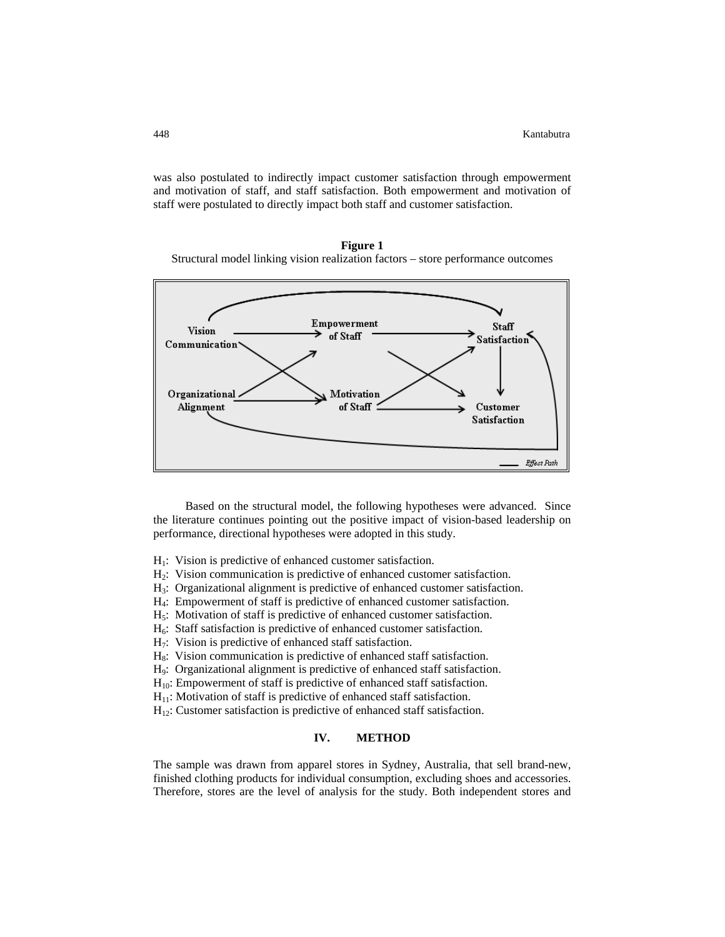was also postulated to indirectly impact customer satisfaction through empowerment and motivation of staff, and staff satisfaction. Both empowerment and motivation of staff were postulated to directly impact both staff and customer satisfaction.

**Figure 1**  Structural model linking vision realization factors – store performance outcomes



Based on the structural model, the following hypotheses were advanced. Since the lit erature continues pointing out the positive impact of vision-based leadership on performance, directional hypotheses were adopted in this study.

- $H<sub>1</sub>$ : Vision is predictive of enhanced customer satisfaction.
- $H_2$ : Vision communication is predictive of enhanced customer satisfaction.
- H3: Organizational alignment is predictive of enhanced customer satisfaction.
- H4: Empowerment of staff is predictive of enhanced customer satisfaction.
- H5: Motivation of staff is predictive of enhanced customer satisfaction.
- $H<sub>6</sub>$ : Staff satisfaction is predictive of enhanced customer satisfaction.
- $H_7$ : Vision is predictive of enhanced staff satisfaction.
- $H_8$ : Vision communication is predictive of enhanced staff satisfaction.
- H<sub>9</sub>: Organizational alignment is predictive of enhanced staff satisfaction.
- $H_{10}$ : Empowerment of staff is predictive of enhanced staff satisfaction.
- $H<sub>11</sub>$ : Motivation of staff is predictive of enhanced staff satisfaction.
- $H_{12}$ : Customer satisfaction is predictive of enhanced staff satisfaction.

#### **IV. METHOD**

The sample was drawn from apparel stores in Sydney, Australia, that sell brand-new, finished clothing products for individual consumption, excluding shoes and accessories. Therefore, stores are the level of analysis for the study. Both independent stores and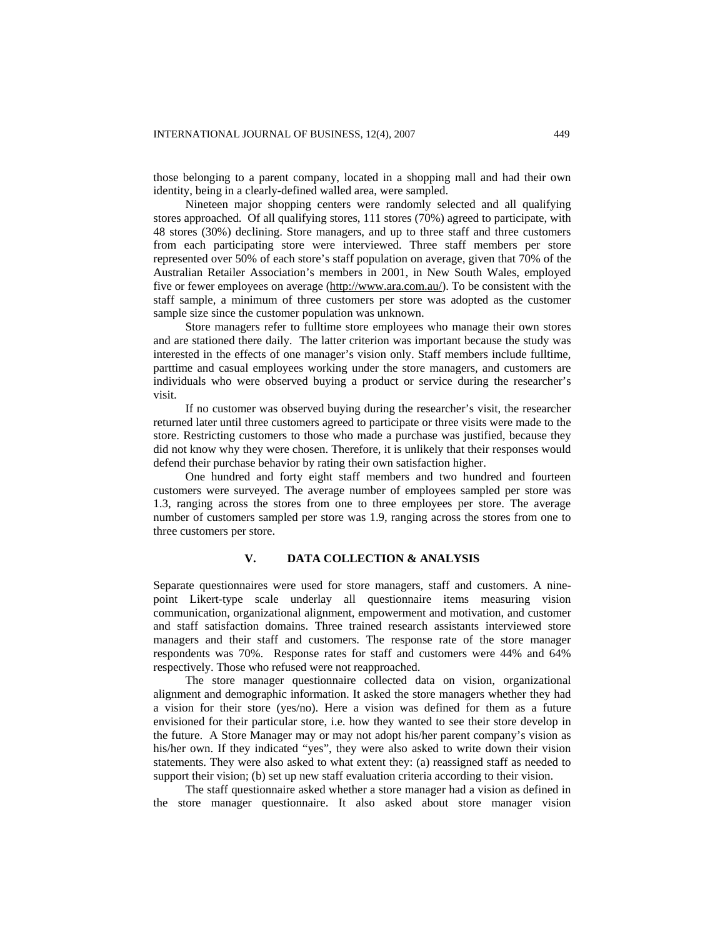those belonging to a parent company, located in a shopping mall and had their own identity, being in a clearly-defined walled area, were sampled.

Nineteen major shopping centers were randomly selected and all qualifying stores approached. Of all qualifying stores, 111 stores (70%) agreed to participate, with 48 stores (30%) declining. Store managers, and up to three staff and three customers from each participating store were interviewed. Three staff members per store represented over 50% of each store's staff population on average, given that 70% of the Australian Retailer Association's members in 2001, in New South Wales, employed five or fewer employees on average (<http://www.ara.com.au/>). To be consistent with the staff sample, a minimum of three customers per store was adopted as the customer sample size since the customer population was unknown.

Store managers refer to fulltime store employees who manage their own stores and are stationed there daily. The latter criterion was important because the study was interested in the effects of one manager's vision only. Staff members include fulltime, parttime and casual employees working under the store managers, and customers are individuals who were observed buying a product or service during the researcher's visit.

If no customer was observed buying during the researcher's visit, the researcher returned later until three customers agreed to participate or three visits were made to the store. Restricting customers to those who made a purchase was justified, because they did not know why they were chosen. Therefore, it is unlikely that their responses would defend their purchase behavior by rating their own satisfaction higher.

One hundred and forty eight staff members and two hundred and fourteen customers were surveyed. The average number of employees sampled per store was 1.3, ranging across the stores from one to three employees per store. The average number of customers sampled per store was 1.9, ranging across the stores from one to three customers per store.

## **V. DATA COLLECTION & ANALYSIS**

Separate questionnaires were used for store managers, staff and customers. A ninepoint Likert-type scale underlay all questionnaire items measuring vision communication, organizational alignment, empowerment and motivation, and customer and staff satisfaction domains. Three trained research assistants interviewed store managers and their staff and customers. The response rate of the store manager respondents was 70%. Response rates for staff and customers were 44% and 64% respectively. Those who refused were not reapproached.

The store manager questionnaire collected data on vision, organizational alignment and demographic information. It asked the store managers whether they had a vision for their store (yes/no). Here a vision was defined for them as a future envisioned for their particular store, i.e. how they wanted to see their store develop in the future. A Store Manager may or may not adopt his/her parent company's vision as his/her own. If they indicated "yes", they were also asked to write down their vision statements. They were also asked to what extent they: (a) reassigned staff as needed to support their vision; (b) set up new staff evaluation criteria according to their vision.

The staff questionnaire asked whether a store manager had a vision as defined in the store manager questionnaire. It also asked about store manager vision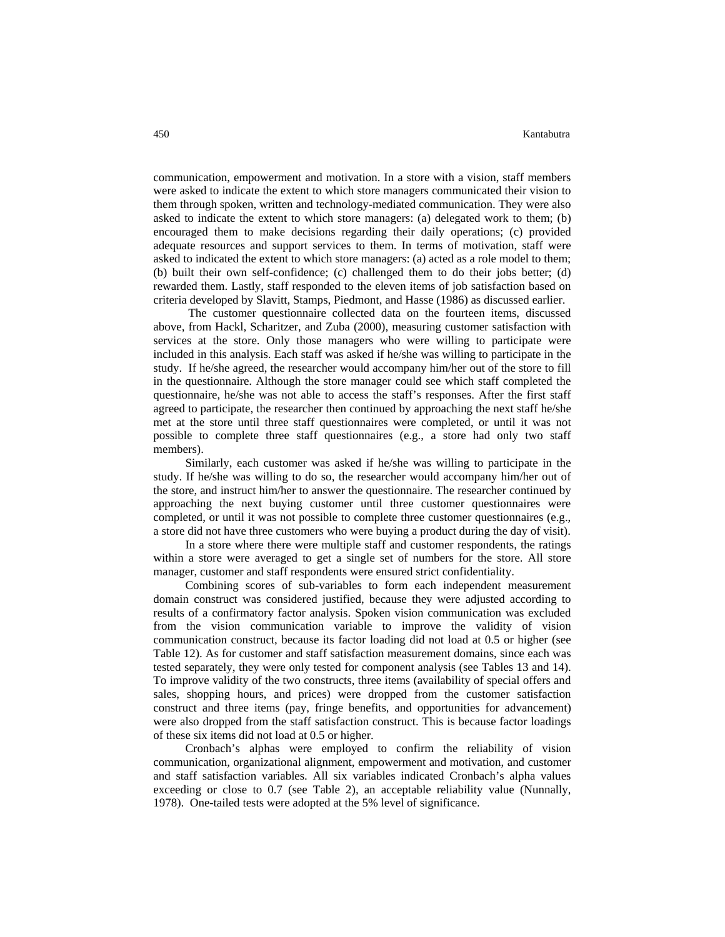communication, empowerment and motivation. In a store with a vision, staff members were asked to indicate the extent to which store managers communicated their vision to them through spoken, written and technology-mediated communication. They were also asked to indicate the extent to which store managers: (a) delegated work to them; (b) encouraged them to make decisions regarding their daily operations; (c) provided adequate resources and support services to them. In terms of motivation, staff were asked to indicated the extent to which store managers: (a) acted as a role model to them; (b) built their own self-confidence; (c) challenged them to do their jobs better; (d) rewarded them. Lastly, staff responded to the eleven items of job satisfaction based on criteria developed by Slavitt, Stamps, Piedmont, and Hasse (1986) as discussed earlier.

 The customer questionnaire collected data on the fourteen items, discussed above, from Hackl, Scharitzer, and Zuba (2000), measuring customer satisfaction with services at the store. Only those managers who were willing to participate were included in this analysis. Each staff was asked if he/she was willing to participate in the study. If he/she agreed, the researcher would accompany him/her out of the store to fill in the questionnaire. Although the store manager could see which staff completed the questionnaire, he/she was not able to access the staff's responses. After the first staff agreed to participate, the researcher then continued by approaching the next staff he/she met at the store until three staff questionnaires were completed, or until it was not possible to complete three staff questionnaires (e.g., a store had only two staff members).

Similarly, each customer was asked if he/she was willing to participate in the study. If he/she was willing to do so, the researcher would accompany him/her out of the store, and instruct him/her to answer the questionnaire. The researcher continued by approaching the next buying customer until three customer questionnaires were completed, or until it was not possible to complete three customer questionnaires (e.g., a store did not have three customers who were buying a product during the day of visit).

In a store where there were multiple staff and customer respondents, the ratings within a store were averaged to get a single set of numbers for the store. All store manager, customer and staff respondents were ensured strict confidentiality.

Combining scores of sub-variables to form each independent measurement domain construct was considered justified, because they were adjusted according to results of a confirmatory factor analysis. Spoken vision communication was excluded from the vision communication variable to improve the validity of vision communication construct, because its factor loading did not load at 0.5 or higher (see Table 12). As for customer and staff satisfaction measurement domains, since each was tested separately, they were only tested for component analysis (see Tables 13 and 14). To improve validity of the two constructs, three items (availability of special offers and sales, shopping hours, and prices) were dropped from the customer satisfaction construct and three items (pay, fringe benefits, and opportunities for advancement) were also dropped from the staff satisfaction construct. This is because factor loadings of these six items did not load at 0.5 or higher.

Cronbach's alphas were employed to confirm the reliability of vision communication, organizational alignment, empowerment and motivation, and customer and staff satisfaction variables. All six variables indicated Cronbach's alpha values exceeding or close to 0.7 (see Table 2), an acceptable reliability value (Nunnally, 1978). One-tailed tests were adopted at the 5% level of significance.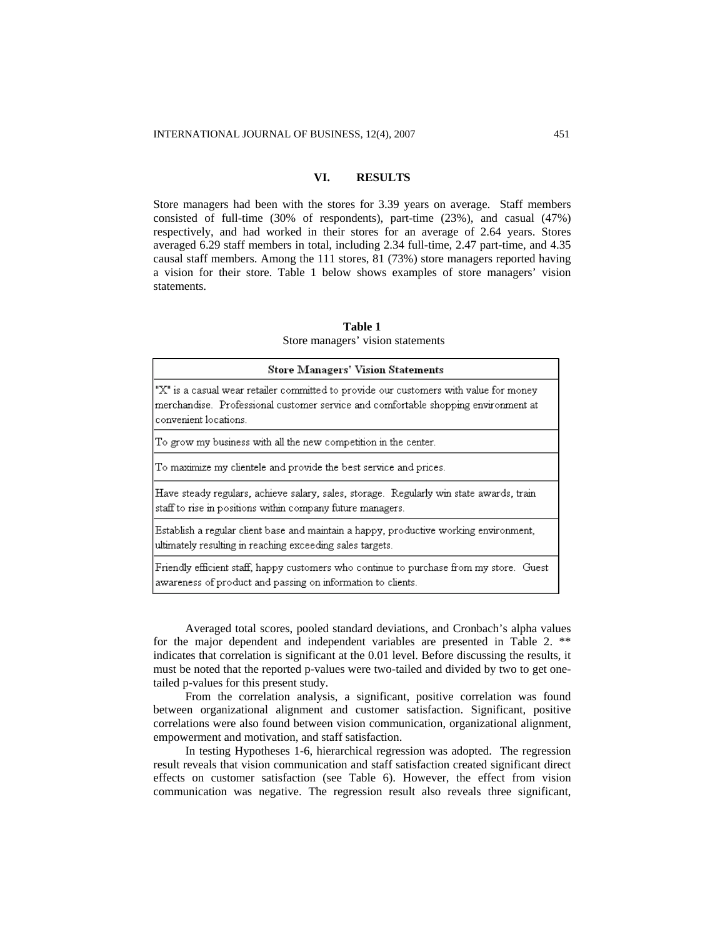## **VI. RESULTS**

Store managers had been with the stores for 3.39 years on average. Staff members consisted of full-time (30% of respondents), part-time (23%), and casual (47%) respectively, and had worked in their stores for an average of 2.64 years. Stores averaged 6.29 staff members in total, including 2.34 full-time, 2.47 part-time, and 4.35 causal staff members. Among the 111 stores, 81 (73%) store managers reported having a vision for their store. Table 1 below shows examples of store managers' vision statements.

#### **Table 1**  Store managers' vision statements

| <b>Store Managers' Vision Statements</b>                                                                                                                                                             |
|------------------------------------------------------------------------------------------------------------------------------------------------------------------------------------------------------|
| "X" is a casual wear retailer committed to provide our customers with value for money<br>merchandise. Professional customer service and comfortable shopping environment at<br>convenient locations. |
| To grow my business with all the new competition in the center.                                                                                                                                      |
| To maximize my clientele and provide the best service and prices.                                                                                                                                    |
| Have steady regulars, achieve salary, sales, storage. Regularly win state awards, train<br>staff to rise in positions within company future managers.                                                |
| Establish a regular client base and maintain a happy, productive working environment,<br>ultimately resulting in reaching exceeding sales targets.                                                   |
| Friendly efficient staff, happy customers who continue to purchase from my store. Guest<br>awareness of product and passing on information to clients.                                               |

Averaged total scores, pooled standard deviations, and Cronbach's alpha values for the major dependent and independent variables are presented in Table 2. \*\* indicates that correlation is significant at the 0.01 level. Before discussing the results, it must be noted that the reported p-values were two-tailed and divided by two to get onetailed p-values for this present study.

From the correlation analysis, a significant, positive correlation was found between organizational alignment and customer satisfaction. Significant, positive correlations were also found between vision communication, organizational alignment, empowerment and motivation, and staff satisfaction.

In testing Hypotheses 1-6, hierarchical regression was adopted. The regression result reveals that vision communication and staff satisfaction created significant direct effects on customer satisfaction (see Table 6). However, the effect from vision communication was negative. The regression result also reveals three significant,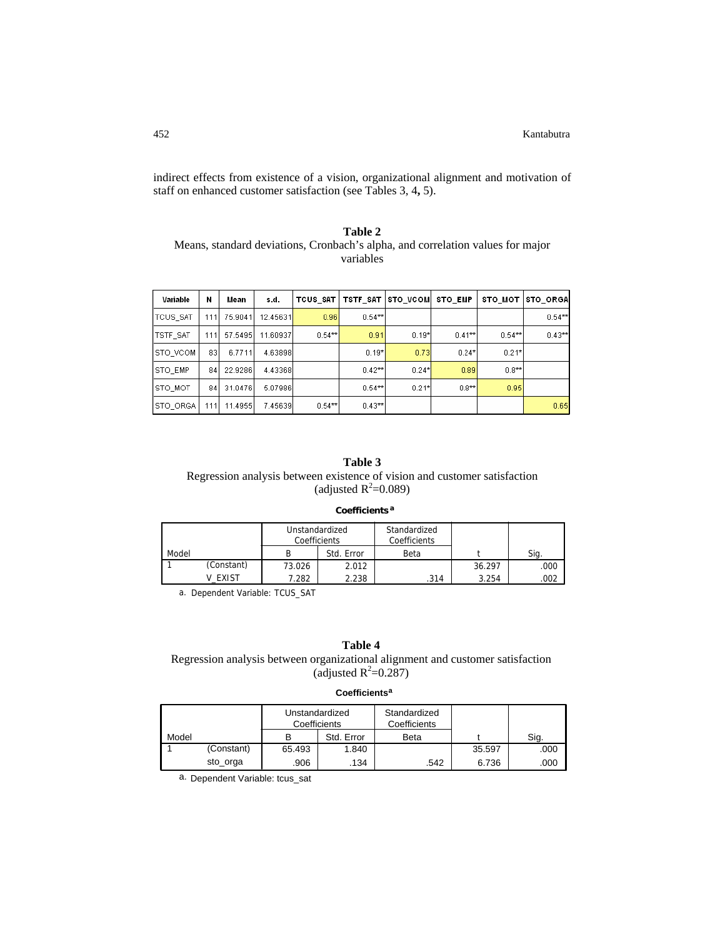indirect effects from existence of a vision, organizational alignment and motivation of staff on enhanced customer satisfaction (see Tables 3, 4**,** 5).

## **Table 2**  Means, standard deviations, Cronbach's alpha, and correlation values for major variables

| Variable        | N   | Mean    | s.d.     | TCUS SAT | TSTF_SAT  | <b>STO VCOM</b> | <b>STO EMP</b> | STO_MOT   | <b>STO ORGA</b> |
|-----------------|-----|---------|----------|----------|-----------|-----------------|----------------|-----------|-----------------|
| TCUS SAT        | 111 | 75.9041 | 12.45631 | 0.96     | $0.54**$  |                 |                |           | $0.54**$        |
| <b>TSTF_SAT</b> | 111 | 57.5495 | 11.60937 | $0.54**$ | 0.91      | $0.19*$         | $0.41***$      | $0.54***$ | $0.43**$        |
| <b>STO VCOM</b> | 831 | 6.7711  | 4.63898  |          | $0.19*$   | 0.73            | $0.24*$        | $0.21*$   |                 |
| <b>STO EMP</b>  | 84  | 22.9286 | 4.43368  |          | $0.42***$ | $0.24*$         | 0.89           | $0.8***$  |                 |
| STO_MOT         | 84  | 31.0476 | 5.07986  |          | $0.54***$ | $0.21*$         | $0.8**$        | 0.95      |                 |
| ISTO ORGA       | 111 | 11.4955 | 7.45639  | $0.54**$ | $0.43**$  |                 |                |           | 0.65            |

## **Table 3**

# Regression analysis between existence of vision and customer satisfaction (adjusted  $R^2$ =0.089)

## **Coefficients <sup>a</sup>**

|       |            | Unstandardized<br>Coefficients |            | Standardized<br>Coefficients |        |      |
|-------|------------|--------------------------------|------------|------------------------------|--------|------|
| Model |            |                                | Std. Error | Beta                         |        | Sig. |
|       | (Constant) | 73.026                         | 2.012      |                              | 36.297 | .000 |
|       | EXIST      | 7.282                          | 2.238      | .314                         | 3.254  | 002  |

a. Dependent Variable: TCUS\_SAT

**Table 4** 

Regression analysis between organizational alignment and customer satisfaction (adjusted  $R^2$ =0.287)

## **Coefficients<sup>a</sup>**

|       |            | Unstandardized<br>Coefficients |            | Standardized<br>Coefficients |        |      |
|-------|------------|--------------------------------|------------|------------------------------|--------|------|
| Model |            | в                              | Std. Error | <b>Beta</b>                  |        | Sig. |
|       | (Constant) | 65.493                         | 1.840      |                              | 35.597 | .000 |
|       | sto_orga   | .906                           | .134       | .542                         | 6.736  | .000 |

a. Dependent Variable: tcus\_sat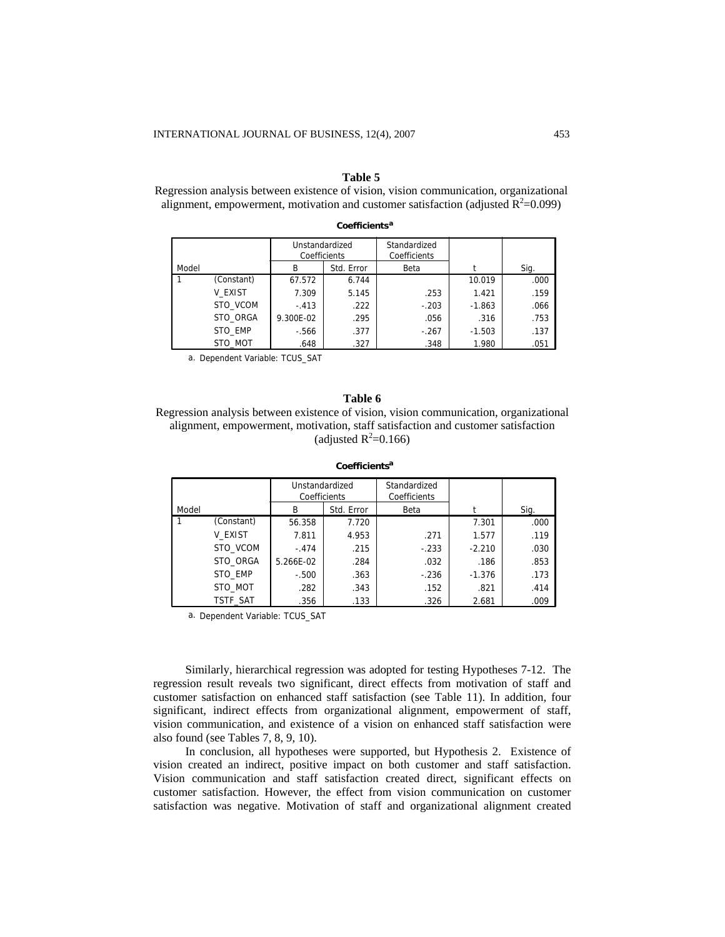#### **Table 5**

Regression analysis between existence of vision, vision communication, organizational alignment, empowerment, motivation and customer satisfaction (adjusted  $\mathbf{R}^2$ =0.099)

**Coefficients<sup>a</sup>**

|       |            | Unstandardized<br>Coefficients |            | Standardized<br>Coefficients |          |      |
|-------|------------|--------------------------------|------------|------------------------------|----------|------|
| Model |            | B                              | Std. Error | Beta                         |          | Sig. |
|       | (Constant) | 67.572                         | 6.744      |                              | 10.019   | .000 |
|       | V EXIST    | 7.309                          | 5.145      | .253                         | 1.421    | .159 |
|       | STO VCOM   | $-.413$                        | .222       | $-.203$                      | $-1.863$ | .066 |
|       | STO ORGA   | 9.300E-02                      | .295       | .056                         | .316     | .753 |
|       | STO EMP    | $-566$                         | .377       | $-.267$                      | $-1.503$ | .137 |
|       | STO MOT    | .648                           | .327       | .348                         | 1.980    | .051 |

a. Dependent Variable: TCUS\_SAT

#### **Table 6**

Regression analysis between existence of vision, vision communication, organizational alignment, empowerment, motivation, staff satisfaction and customer satisfaction (adjusted  $R^2$ =0.166)

|       |            | Unstandardized<br>Coefficients |            | Standardized<br>Coefficients |          |      |
|-------|------------|--------------------------------|------------|------------------------------|----------|------|
| Model |            | B                              | Std. Error | Beta                         |          | Sig. |
|       | (Constant) | 56.358                         | 7.720      |                              | 7.301    | .000 |
|       | V EXIST    | 7.811                          | 4.953      | .271                         | 1.577    | .119 |
|       | STO VCOM   | $-.474$                        | .215       | $-.233$                      | $-2.210$ | .030 |
|       | STO ORGA   | 5.266E-02                      | .284       | .032                         | .186     | .853 |
|       | STO EMP    | $-.500$                        | .363       | $-.236$                      | $-1.376$ | .173 |
|       | STO MOT    | .282                           | .343       | .152                         | .821     | .414 |
|       | TSTF SAT   | .356                           | .133       | .326                         | 2.681    | .009 |

#### **Coefficientsa**

a. Dependent Variable: TCUS\_SAT

Similarly, hierarchical regression was adopted for testing Hypotheses 7-12. The regression result reveals two significant, direct effects from motivation of staff and customer satisfaction on enhanced staff satisfaction (see Table 11). In addition, four significant, indirect effects from organizational alignment, empowerment of staff, vision communication, and existence of a vision on enhanced staff satisfaction were also found (see Tables 7, 8, 9, 10).

In conclusion, all hypotheses were supported, but Hypothesis 2. Existence of vision created an indirect, positive impact on both customer and staff satisfaction. Vision communication and staff satisfaction created direct, significant effects on customer satisfaction. However, the effect from vision communication on customer satisfaction was negative. Motivation of staff and organizational alignment created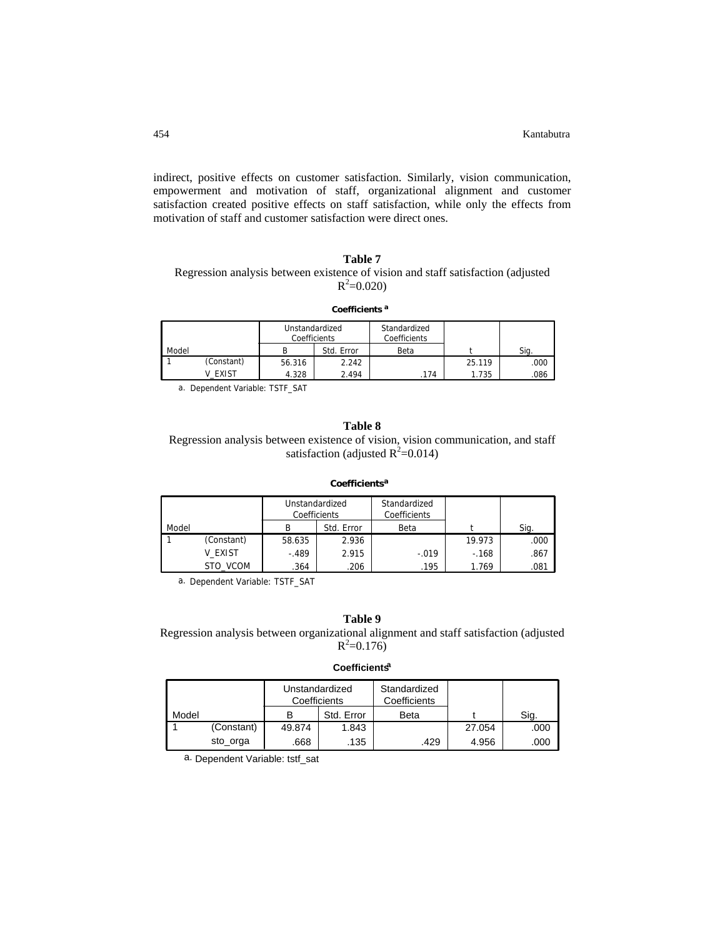indirect, positive effects on customer satisfaction. Similarly, vision communication, empowerment and motivation of staff, organizational alignment and customer satisfaction created positive effects on staff satisfaction, while only the effects from motivation of staff and customer satisfaction were direct ones.

## **Table 7**  Regression analysis between existence of vision and staff satisfaction (adjusted  $R^2 = 0.020$

#### **Coefficients <sup>a</sup>**

|       |            | Unstandardized<br>Coefficients |            | Standardized<br>Coefficients |        |      |
|-------|------------|--------------------------------|------------|------------------------------|--------|------|
| Model |            |                                | Std. Error | Beta                         |        | Sig. |
|       | (Constant) | 56.316                         | 2.242      |                              | 25.119 | .000 |
|       | V EXIST    | 4.328                          | 2.494      | .174                         | 1.735  | .086 |

a. Dependent Variable: TSTF\_SAT

#### **Table 8**

Regression analysis between existence of vision, vision communication, and staff satisfaction (adjusted  $R^2$ =0.014)

**Coefficients<sup>a</sup>**

|       |            | Unstandardized<br>Coefficients |            | Standardized<br>Coefficients |        |      |
|-------|------------|--------------------------------|------------|------------------------------|--------|------|
| Model |            | В                              | Std. Error | Beta                         |        | Sig. |
|       | (Constant) | 58.635                         | 2.936      |                              | 19.973 | .000 |
|       | V EXIST    | $-.489$                        | 2.915      | $-.019$                      | $-168$ | .867 |
|       | STO VCOM   | .364                           | .206       | .195                         | 1.769  | .081 |

a. Dependent Variable: TSTF\_SAT

## **Table 9**

Regression analysis between organizational alignment and staff satisfaction (adjusted  $R^2 = 0.176$ 

## **Coefficientsa**

|       |            | Coefficients | Unstandardized | Standardized<br>Coefficients |        |      |
|-------|------------|--------------|----------------|------------------------------|--------|------|
| Model |            |              | Std. Error     | Beta                         |        | Sig. |
|       | (Constant) | 49.874       | 1.843          |                              | 27.054 | .000 |
|       | sto_orga   | .668         | .135           | 429                          | 4.956  | .000 |

a. Dependent Variable: tstf\_sat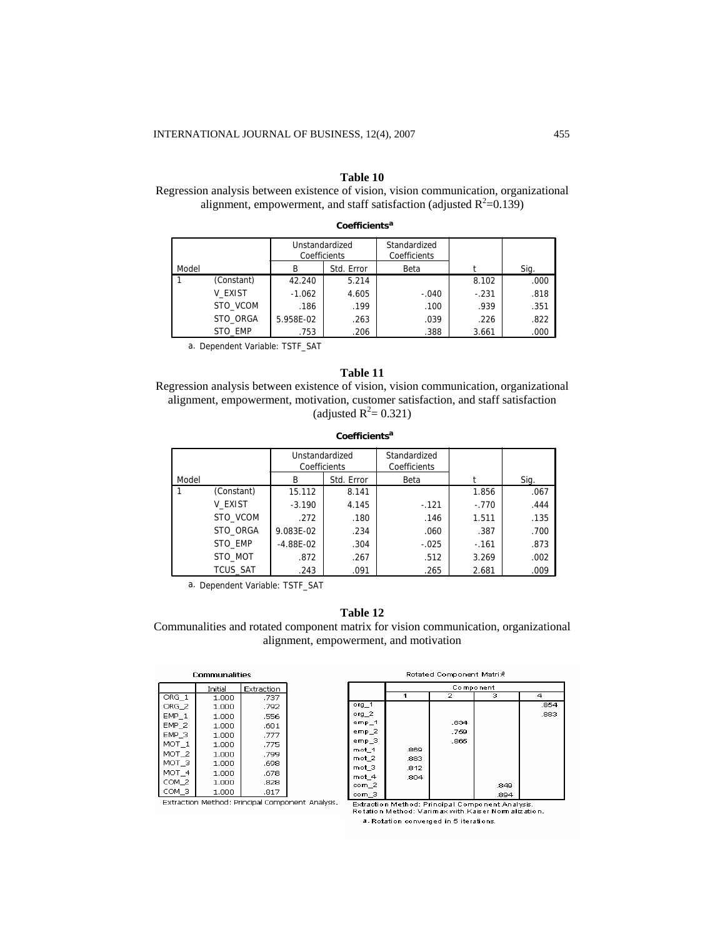## **Table 10**

Regression analysis between existence of vision, vision communication, organizational alignment, empowerment, and staff satisfaction (adjusted  $R^2$ =0.139)

|       |            | Unstandardized<br>Coefficients |            | Standardized<br>Coefficients |         |      |
|-------|------------|--------------------------------|------------|------------------------------|---------|------|
| Model |            | В                              | Std. Error | Beta                         |         | Sig. |
|       | (Constant) | 42.240                         | 5.214      |                              | 8.102   | .000 |
|       | V EXIST    | $-1.062$                       | 4.605      | $-.040$                      | $-.231$ | .818 |
|       | STO VCOM   | .186                           | .199       | .100                         | .939    | .351 |
|       | STO ORGA   | 5.958E-02                      | .263       | .039                         | .226    | .822 |
|       | STO EMP    | .753                           | .206       | .388                         | 3.661   | .000 |

**Coefficients<sup>a</sup>**

a. Dependent Variable: TSTF\_SAT

## **Table 11**

Regression analysis between existence of vision, vision communication, organizational alignment, empowerment, motivation, customer satisfaction, and staff satisfaction (adjusted  $R^2 = 0.321$ )

**Coefficientsa**

|       |                 | Unstandardized<br>Coefficients |            | Standardized<br>Coefficients |         |      |
|-------|-----------------|--------------------------------|------------|------------------------------|---------|------|
| Model |                 | B                              | Std. Error | Beta                         |         | Sig. |
|       | (Constant)      | 15.112                         | 8.141      |                              | 1.856   | .067 |
|       | V EXIST         | $-3.190$                       | 4.145      | $-.121$                      | $-.770$ | .444 |
|       | STO VCOM        | .272                           | .180       | .146                         | 1.511   | .135 |
|       | STO ORGA        | 9.083E-02                      | .234       | .060                         | .387    | .700 |
|       | STO EMP         | $-4.88E - 02$                  | .304       | $-.025$                      | $-.161$ | .873 |
|       | STO MOT         | .872                           | .267       | .512                         | 3.269   | .002 |
|       | <b>TCUS SAT</b> | .243                           | .091       | .265                         | 2.681   | .009 |

a. Dependent Variable: TSTF\_SAT

## **Table 12**

Communalities and rotated component matrix for vision communication, organizational alignment, empowerment, and motivation

| Communalities    |         |            |  |  |  |  |
|------------------|---------|------------|--|--|--|--|
|                  | Initial | Extraction |  |  |  |  |
| $ORG$ 1          | 1.000   | .737       |  |  |  |  |
| ORG <sub>2</sub> | 1.000   | .792       |  |  |  |  |
| EMP <sub>1</sub> | 1.000   | .556       |  |  |  |  |
| $EMP_2$          | 1.000   | .601       |  |  |  |  |
| EMP <sub>3</sub> | 1.000   | .777       |  |  |  |  |
| MOT 1            | 1.000   | .775       |  |  |  |  |
| MOT 2            | 1.000   | .799       |  |  |  |  |
| MOT 3            | 1.000   | .698       |  |  |  |  |
| MOT 4            | 1.000   | .678       |  |  |  |  |
| COM 2            | 1.000   | .828       |  |  |  |  |
| сом з            | 1.000   | .817       |  |  |  |  |

| Rotated Component Matrix |  |
|--------------------------|--|

|                  | Component |              |      |      |  |
|------------------|-----------|--------------|------|------|--|
|                  | 4         | $\mathbf{z}$ | з    | Δ    |  |
| $org_1$          |           |              |      | .854 |  |
| $org_2$          |           |              |      | .883 |  |
| $emp_1$          |           | .634         |      |      |  |
| $emp_2$          |           | .759         |      |      |  |
| emp_3            |           | .865         |      |      |  |
| mot 1            | .869      |              |      |      |  |
| mot_2            | .883      |              |      |      |  |
| mot 3            | .812      |              |      |      |  |
| mot <sub>4</sub> | .804      |              |      |      |  |
| com 2            |           |              | .849 |      |  |
| com 3            |           |              | .894 |      |  |

Extraction Method: Principal Component Analysis.

Extraction Method: Principal Component Analysis.<br>Rotation Method: Varimax with Kaiser Normalization. a. Rotation converged in 5 iterations.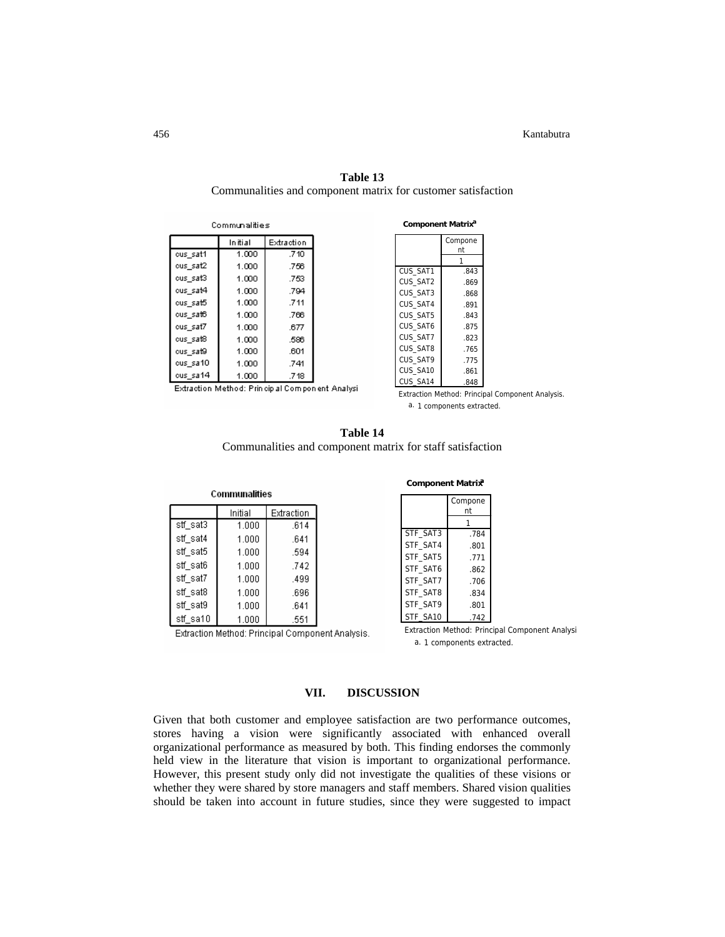| Communalities           |       |      |  |  |  |
|-------------------------|-------|------|--|--|--|
| Extraction<br>In iti al |       |      |  |  |  |
| cus sat1                | 1.000 | .710 |  |  |  |
| ous sat2                | 1.000 | .756 |  |  |  |
| ous sat3                | 1.000 | .753 |  |  |  |
| cus sat4                | 1.000 | .794 |  |  |  |
| cus_sat5                | 1.000 | .711 |  |  |  |
| cus_sat6                | 1.000 | .766 |  |  |  |
| cus sat7                | 1.000 | .677 |  |  |  |
| ous sat8                | 1.000 | .586 |  |  |  |
| cus sat9                | 1.000 | .601 |  |  |  |
| cus sa10                | 1.000 | .741 |  |  |  |
| ous sa14                | 1.000 | .718 |  |  |  |

| Table 13                                                     |
|--------------------------------------------------------------|
| Communalities and component matrix for customer satisfaction |

| Component Matrix <sup>a</sup> |         |  |  |
|-------------------------------|---------|--|--|
|                               | Compone |  |  |
|                               | nt<br>1 |  |  |
| CUS SAT1                      | .843    |  |  |
| CUS SAT2                      |         |  |  |
|                               | .869    |  |  |
| CUS SAT3                      | .868    |  |  |
| CUS SAT4                      | .891    |  |  |
| CUS SAT5                      | .843    |  |  |
| CUS SAT6                      | .875    |  |  |
| CUS SAT7                      | .823    |  |  |
| CUS SAT8                      | .765    |  |  |
| CUS SAT9                      | .775    |  |  |
| CUS SA10                      | .861    |  |  |
| CUS SA14                      | .848    |  |  |

Extraction Method: Princip al Component Analysi

Extraction Method: Principal Component Analysis. a. 1 components extracted.

| Table 14                                                  |
|-----------------------------------------------------------|
| Communalities and component matrix for staff satisfaction |

|               |         | <b>Component Matrix</b> |          |      |
|---------------|---------|-------------------------|----------|------|
| Communalities |         |                         | Compone  |      |
|               | Initial | Extraction              |          | nt   |
| stf sat3      | 1.000   | .614                    |          |      |
| stf sat4      | 1.000   | .641                    | STF SAT3 | .784 |
| stf_sat5      | 1.000   | .594                    | STF SAT4 | .801 |
|               |         |                         | STF SAT5 | .771 |
| stf_sat6      | 1.000   | .742                    | STF SAT6 | .862 |
| stf sat7      | 1.000   | .499                    | STF SAT7 | .706 |
| stf sat8      | 1.000   | .696                    | STF SAT8 | .834 |
| stf_sat9      | 1.000   | .641                    | STF SAT9 | .801 |
| stf sa10      | 1.000   | .551                    | STF SA10 | .742 |

Extraction Method: Principal Component Analysis.

Extraction Method: Principal Component Analysi a. 1 components extracted.

# **VII. DISCUSSION**

Given that both customer and employee satisfaction are two performance outcomes, stores having a vision were significantly associated with enhanced overall organizational performance as measured by both. This finding endorses the commonly held view in the literature that vision is important to organizational performance. However, this present study only did not investigate the qualities of these visions or whether they were shared by store managers and staff members. Shared vision qualities should be taken into account in future studies, since they were suggested to impact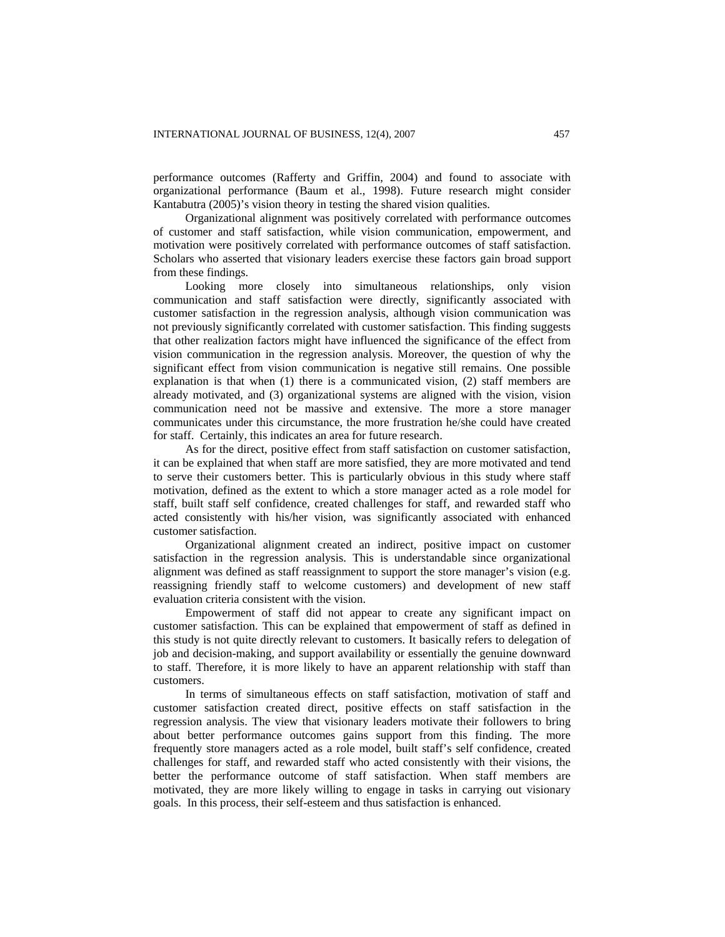performance outcomes (Rafferty and Griffin, 2004) and found to associate with organizational performance (Baum et al., 1998). Future research might consider Kantabutra (2005)'s vision theory in testing the shared vision qualities.

Organizational alignment was positively correlated with performance outcomes of customer and staff satisfaction, while vision communication, empowerment, and motivation were positively correlated with performance outcomes of staff satisfaction. Scholars who asserted that visionary leaders exercise these factors gain broad support from these findings.

Looking more closely into simultaneous relationships, only vision communication and staff satisfaction were directly, significantly associated with customer satisfaction in the regression analysis, although vision communication was not previously significantly correlated with customer satisfaction. This finding suggests that other realization factors might have influenced the significance of the effect from vision communication in the regression analysis. Moreover, the question of why the significant effect from vision communication is negative still remains. One possible explanation is that when (1) there is a communicated vision, (2) staff members are already motivated, and (3) organizational systems are aligned with the vision, vision communication need not be massive and extensive. The more a store manager communicates under this circumstance, the more frustration he/she could have created for staff. Certainly, this indicates an area for future research.

As for the direct, positive effect from staff satisfaction on customer satisfaction, it can be explained that when staff are more satisfied, they are more motivated and tend to serve their customers better. This is particularly obvious in this study where staff motivation, defined as the extent to which a store manager acted as a role model for staff, built staff self confidence, created challenges for staff, and rewarded staff who acted consistently with his/her vision, was significantly associated with enhanced customer satisfaction.

Organizational alignment created an indirect, positive impact on customer satisfaction in the regression analysis. This is understandable since organizational alignment was defined as staff reassignment to support the store manager's vision (e.g. reassigning friendly staff to welcome customers) and development of new staff evaluation criteria consistent with the vision.

Empowerment of staff did not appear to create any significant impact on customer satisfaction. This can be explained that empowerment of staff as defined in this study is not quite directly relevant to customers. It basically refers to delegation of job and decision-making, and support availability or essentially the genuine downward to staff. Therefore, it is more likely to have an apparent relationship with staff than customers.

In terms of simultaneous effects on staff satisfaction, motivation of staff and customer satisfaction created direct, positive effects on staff satisfaction in the regression analysis. The view that visionary leaders motivate their followers to bring about better performance outcomes gains support from this finding. The more frequently store managers acted as a role model, built staff's self confidence, created challenges for staff, and rewarded staff who acted consistently with their visions, the better the performance outcome of staff satisfaction. When staff members are motivated, they are more likely willing to engage in tasks in carrying out visionary goals. In this process, their self-esteem and thus satisfaction is enhanced.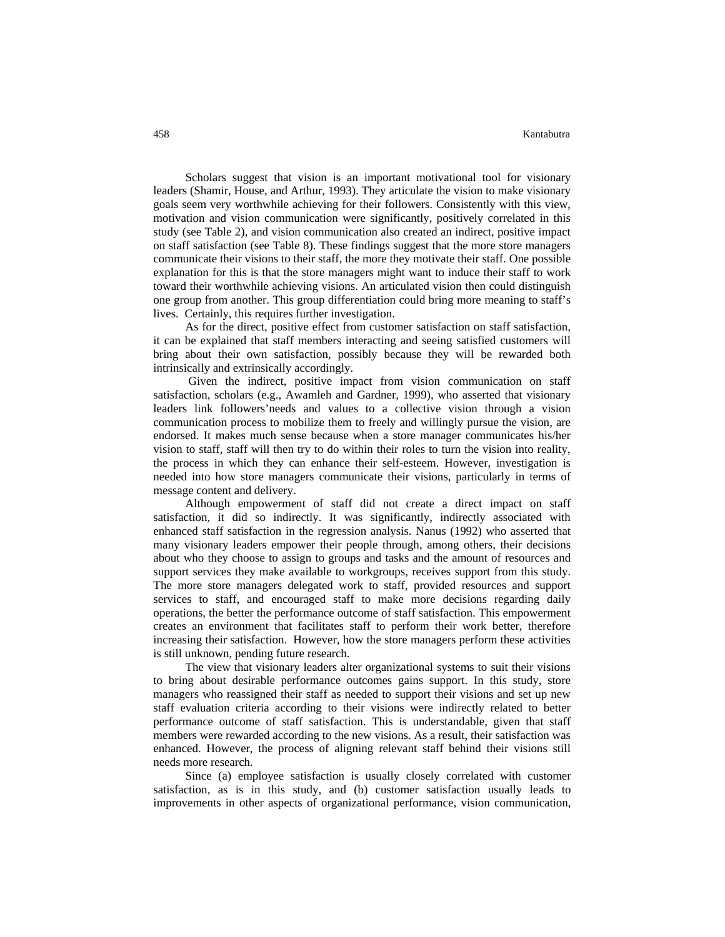Scholars suggest that vision is an important motivational tool for visionary leaders (Shamir, House, and Arthur, 1993). They articulate the vision to make visionary goals seem very worthwhile achieving for their followers. Consistently with this view, motivation and vision communication were significantly, positively correlated in this study (see Table 2), and vision communication also created an indirect, positive impact on staff satisfaction (see Table 8). These findings suggest that the more store managers communicate their visions to their staff, the more they motivate their staff. One possible explanation for this is that the store managers might want to induce their staff to work toward their worthwhile achieving visions. An articulated vision then could distinguish one group from another. This group differentiation could bring more meaning to staff's lives. Certainly, this requires further investigation.

As for the direct, positive effect from customer satisfaction on staff satisfaction, it can be explained that staff members interacting and seeing satisfied customers will bring about their own satisfaction, possibly because they will be rewarded both intrinsically and extrinsically accordingly.

 Given the indirect, positive impact from vision communication on staff satisfaction, scholars (e.g., Awamleh and Gardner, 1999), who asserted that visionary leaders link followers'needs and values to a collective vision through a vision communication process to mobilize them to freely and willingly pursue the vision, are endorsed. It makes much sense because when a store manager communicates his/her vision to staff, staff will then try to do within their roles to turn the vision into reality, the process in which they can enhance their self-esteem. However, investigation is needed into how store managers communicate their visions, particularly in terms of message content and delivery.

Although empowerment of staff did not create a direct impact on staff satisfaction, it did so indirectly. It was significantly, indirectly associated with enhanced staff satisfaction in the regression analysis. Nanus (1992) who asserted that many visionary leaders empower their people through, among others, their decisions about who they choose to assign to groups and tasks and the amount of resources and support services they make available to workgroups, receives support from this study. The more store managers delegated work to staff, provided resources and support services to staff, and encouraged staff to make more decisions regarding daily operations, the better the performance outcome of staff satisfaction. This empowerment creates an environment that facilitates staff to perform their work better, therefore increasing their satisfaction. However, how the store managers perform these activities is still unknown, pending future research.

The view that visionary leaders alter organizational systems to suit their visions to bring about desirable performance outcomes gains support. In this study, store managers who reassigned their staff as needed to support their visions and set up new staff evaluation criteria according to their visions were indirectly related to better performance outcome of staff satisfaction. This is understandable, given that staff members were rewarded according to the new visions. As a result, their satisfaction was enhanced. However, the process of aligning relevant staff behind their visions still needs more research.

Since (a) employee satisfaction is usually closely correlated with customer satisfaction, as is in this study, and (b) customer satisfaction usually leads to improvements in other aspects of organizational performance, vision communication,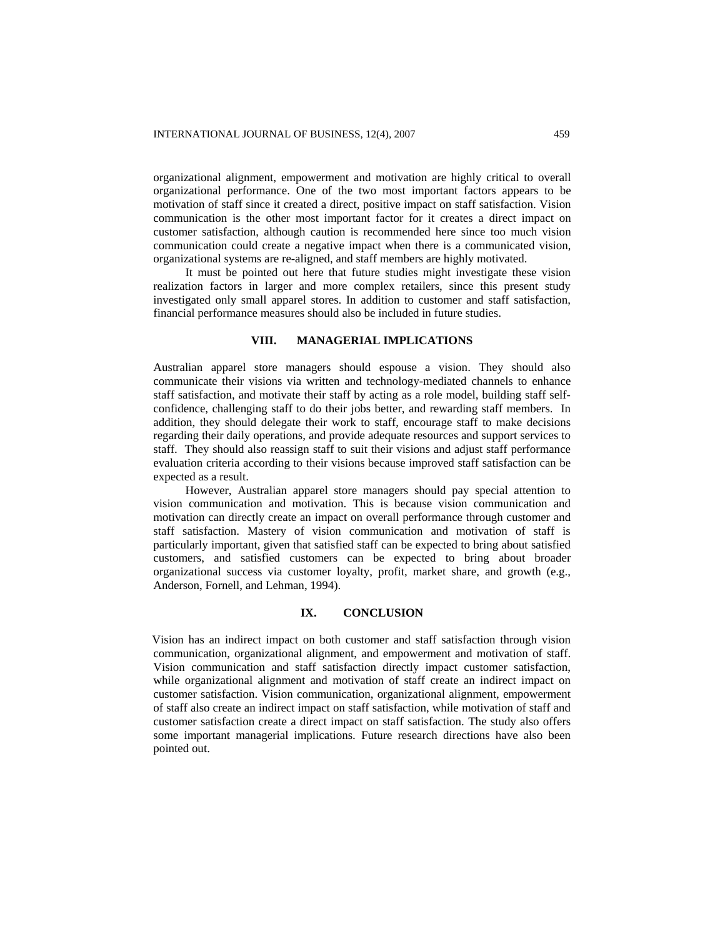organizational alignment, empowerment and motivation are highly critical to overall organizational performance. One of the two most important factors appears to be motivation of staff since it created a direct, positive impact on staff satisfaction. Vision communication is the other most important factor for it creates a direct impact on customer satisfaction, although caution is recommended here since too much vision communication could create a negative impact when there is a communicated vision, organizational systems are re-aligned, and staff members are highly motivated.

It must be pointed out here that future studies might investigate these vision realization factors in larger and more complex retailers, since this present study investigated only small apparel stores. In addition to customer and staff satisfaction, financial performance measures should also be included in future studies.

#### **VIII. MANAGERIAL IMPLICATIONS**

Australian apparel store managers should espouse a vision. They should also communicate their visions via written and technology-mediated channels to enhance staff satisfaction, and motivate their staff by acting as a role model, building staff selfconfidence, challenging staff to do their jobs better, and rewarding staff members. In addition, they should delegate their work to staff, encourage staff to make decisions regarding their daily operations, and provide adequate resources and support services to staff. They should also reassign staff to suit their visions and adjust staff performance evaluation criteria according to their visions because improved staff satisfaction can be expected as a result.

However, Australian apparel store managers should pay special attention to vision communication and motivation. This is because vision communication and motivation can directly create an impact on overall performance through customer and staff satisfaction. Mastery of vision communication and motivation of staff is particularly important, given that satisfied staff can be expected to bring about satisfied customers, and satisfied customers can be expected to bring about broader organizational success via customer loyalty, profit, market share, and growth (e.g., Anderson, Fornell, and Lehman, 1994).

## **IX. CONCLUSION**

Vision has an indirect impact on both customer and staff satisfaction through vision communication, organizational alignment, and empowerment and motivation of staff. Vision communication and staff satisfaction directly impact customer satisfaction, while organizational alignment and motivation of staff create an indirect impact on customer satisfaction. Vision communication, organizational alignment, empowerment of staff also create an indirect impact on staff satisfaction, while motivation of staff and customer satisfaction create a direct impact on staff satisfaction. The study also offers some important managerial implications. Future research directions have also been pointed out.